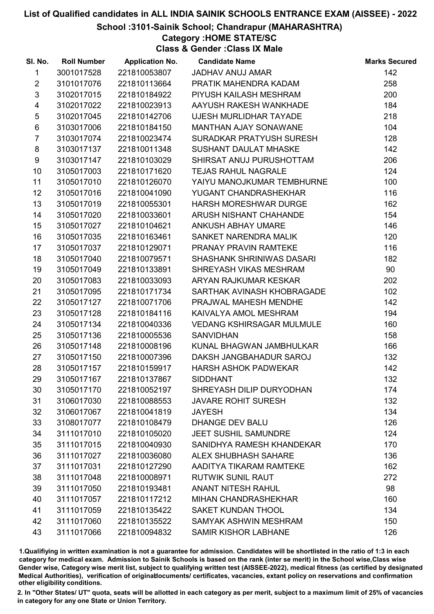School :3101-Sainik School; Chandrapur (MAHARASHTRA)

### Category :HOME STATE/SC

Class & Gender :Class IX Male

| SI. No.                 | <b>Roll Number</b> | <b>Application No.</b> | <b>Candidate Name</b>            | <b>Marks Secured</b> |
|-------------------------|--------------------|------------------------|----------------------------------|----------------------|
| $\mathbf{1}$            | 3001017528         | 221810053807           | <b>JADHAV ANUJ AMAR</b>          | 142                  |
| $\overline{2}$          | 3101017076         | 221810113664           | PRATIK MAHENDRA KADAM            | 258                  |
| $\mathfrak{S}$          | 3102017015         | 221810184922           | PIYUSH KAILASH MESHRAM           | 200                  |
| $\overline{\mathbf{4}}$ | 3102017022         | 221810023913           | AAYUSH RAKESH WANKHADE           | 184                  |
| 5                       | 3102017045         | 221810142706           | UJESH MURLIDHAR TAYADE           | 218                  |
| $\,6$                   | 3103017006         | 221810184150           | <b>MANTHAN AJAY SONAWANE</b>     | 104                  |
| $\overline{7}$          | 3103017074         | 221810023474           | SURADKAR PRATYUSH SURESH         | 128                  |
| 8                       | 3103017137         | 221810011348           | <b>SUSHANT DAULAT MHASKE</b>     | 142                  |
| 9                       | 3103017147         | 221810103029           | SHIRSAT ANUJ PURUSHOTTAM         | 206                  |
| 10                      | 3105017003         | 221810171620           | <b>TEJAS RAHUL NAGRALE</b>       | 124                  |
| 11                      | 3105017010         | 221810126070           | YAIYU MANOJKUMAR TEMBHURNE       | 100                  |
| 12                      | 3105017016         | 221810041090           | YUGANT CHANDRASHEKHAR            | 116                  |
| 13                      | 3105017019         | 221810055301           | <b>HARSH MORESHWAR DURGE</b>     | 162                  |
| 14                      | 3105017020         | 221810033601           | ARUSH NISHANT CHAHANDE           | 154                  |
| 15                      | 3105017027         | 221810104621           | <b>ANKUSH ABHAY UMARE</b>        | 146                  |
| 16                      | 3105017035         | 221810163461           | SANKET NARENDRA MALIK            | 120                  |
| 17                      | 3105017037         | 221810129071           | PRANAY PRAVIN RAMTEKE            | 116                  |
| 18                      | 3105017040         | 221810079571           | SHASHANK SHRINIWAS DASARI        | 182                  |
| 19                      | 3105017049         | 221810133891           | SHREYASH VIKAS MESHRAM           | 90                   |
| 20                      | 3105017083         | 221810033093           | ARYAN RAJKUMAR KESKAR            | 202                  |
| 21                      | 3105017095         | 221810171734           | SARTHAK AVINASH KHOBRAGADE       | 102                  |
| 22                      | 3105017127         | 221810071706           | PRAJWAL MAHESH MENDHE            | 142                  |
| 23                      | 3105017128         | 221810184116           | KAIVALYA AMOL MESHRAM            | 194                  |
| 24                      | 3105017134         | 221810040336           | <b>VEDANG KSHIRSAGAR MULMULE</b> | 160                  |
| 25                      | 3105017136         | 221810005536           | <b>SANVIDHAN</b>                 | 158                  |
| 26                      | 3105017148         | 221810008196           | KUNAL BHAGWAN JAMBHULKAR         | 166                  |
| 27                      | 3105017150         | 221810007396           | DAKSH JANGBAHADUR SAROJ          | 132                  |
| 28                      | 3105017157         | 221810159917           | <b>HARSH ASHOK PADWEKAR</b>      | 142                  |
| 29                      | 3105017167         | 221810137867           | <b>SIDDHANT</b>                  | 132                  |
| 30                      | 3105017170         | 221810052197           | SHREYASH DILIP DURYODHAN         | 174                  |
| 31                      | 3106017030         | 221810088553           | <b>JAVARE ROHIT SURESH</b>       | 132                  |
| 32                      | 3106017067         | 221810041819           | <b>JAYESH</b>                    | 134                  |
| 33                      | 3108017077         | 221810108479           | <b>DHANGE DEV BALU</b>           | 126                  |
| 34                      | 3111017010         | 221810105020           | <b>JEET SUSHIL SAMUNDRE</b>      | 124                  |
| 35                      | 3111017015         | 221810040930           | SANIDHYA RAMESH KHANDEKAR        | 170                  |
| 36                      | 3111017027         | 221810036080           | <b>ALEX SHUBHASH SAHARE</b>      | 136                  |
| 37                      | 3111017031         | 221810127290           | AADITYA TIKARAM RAMTEKE          | 162                  |
| 38                      | 3111017048         | 221810008971           | <b>RUTWIK SUNIL RAUT</b>         | 272                  |
| 39                      | 3111017050         | 221810193481           | <b>ANANT NITESH RAHUL</b>        | 98                   |
| 40                      | 3111017057         | 221810117212           | <b>MIHAN CHANDRASHEKHAR</b>      | 160                  |
| 41                      | 3111017059         | 221810135422           | <b>SAKET KUNDAN THOOL</b>        | 134                  |
| 42                      | 3111017060         | 221810135522           | SAMYAK ASHWIN MESHRAM            | 150                  |
| 43                      | 3111017066         | 221810094832           | <b>SAMIR KISHOR LABHANE</b>      | 126                  |

1.Qualifiying in written examination is not a guarantee for admission. Candidates will be shortlisted in the ratio of 1:3 in each category for medical exam. Admission to Sainik Schools is based on the rank (inter se merit) in the School wise,Class wise Gender wise, Category wise merit list, subject to qualifying written test (AISSEE-2022), medical fitness (as certified by designated Medical Authorities), verification of originablocuments/ certificates, vacancies, extant policy on reservations and confirmation other eligibility conditions.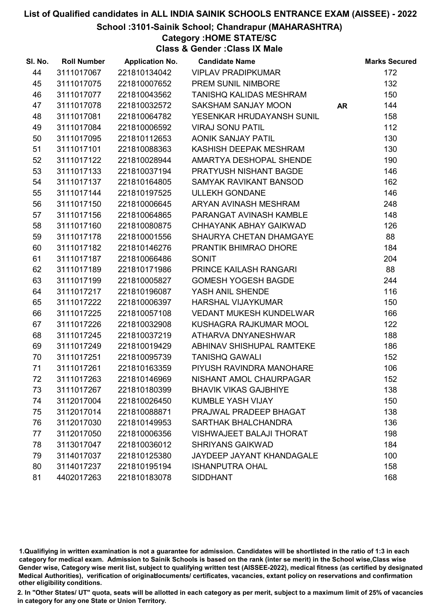#### School :3101-Sainik School; Chandrapur (MAHARASHTRA)

Category :HOME STATE/SC

Class & Gender :Class IX Male

| SI. No. | <b>Roll Number</b> | <b>Application No.</b> | <b>Candidate Name</b>           |           | <b>Marks Secured</b> |
|---------|--------------------|------------------------|---------------------------------|-----------|----------------------|
| 44      | 3111017067         | 221810134042           | <b>VIPLAV PRADIPKUMAR</b>       |           | 172                  |
| 45      | 3111017075         | 221810007652           | PREM SUNIL NIMBORE              |           | 132                  |
| 46      | 3111017077         | 221810043562           | <b>TANISHQ KALIDAS MESHRAM</b>  |           | 150                  |
| 47      | 3111017078         | 221810032572           | <b>SAKSHAM SANJAY MOON</b>      | <b>AR</b> | 144                  |
| 48      | 3111017081         | 221810064782           | YESENKAR HRUDAYANSH SUNIL       |           | 158                  |
| 49      | 3111017084         | 221810006592           | <b>VIRAJ SONU PATIL</b>         |           | 112                  |
| 50      | 3111017095         | 221810112653           | <b>AONIK SANJAY PATIL</b>       |           | 130                  |
| 51      | 3111017101         | 221810088363           | KASHISH DEEPAK MESHRAM          |           | 130                  |
| 52      | 3111017122         | 221810028944           | AMARTYA DESHOPAL SHENDE         |           | 190                  |
| 53      | 3111017133         | 221810037194           | PRATYUSH NISHANT BAGDE          |           | 146                  |
| 54      | 3111017137         | 221810164805           | SAMYAK RAVIKANT BANSOD          |           | 162                  |
| 55      | 3111017144         | 221810197525           | <b>ULLEKH GONDANE</b>           |           | 146                  |
| 56      | 3111017150         | 221810006645           | ARYAN AVINASH MESHRAM           |           | 248                  |
| 57      | 3111017156         | 221810064865           | PARANGAT AVINASH KAMBLE         |           | 148                  |
| 58      | 3111017160         | 221810080875           | CHHAYANK ABHAY GAIKWAD          |           | 126                  |
| 59      | 3111017178         | 221810001556           | SHAURYA CHETAN DHAMGAYE         |           | 88                   |
| 60      | 3111017182         | 221810146276           | PRANTIK BHIMRAO DHORE           |           | 184                  |
| 61      | 3111017187         | 221810066486           | <b>SONIT</b>                    |           | 204                  |
| 62      | 3111017189         | 221810171986           | PRINCE KAILASH RANGARI          |           | 88                   |
| 63      | 3111017199         | 221810005827           | <b>GOMESH YOGESH BAGDE</b>      |           | 244                  |
| 64      | 3111017217         | 221810196087           | YASH ANIL SHENDE                |           | 116                  |
| 65      | 3111017222         | 221810006397           | <b>HARSHAL VIJAYKUMAR</b>       |           | 150                  |
| 66      | 3111017225         | 221810057108           | <b>VEDANT MUKESH KUNDELWAR</b>  |           | 166                  |
| 67      | 3111017226         | 221810032908           | KUSHAGRA RAJKUMAR MOOL          |           | 122                  |
| 68      | 3111017245         | 221810037219           | ATHARVA DNYANESHWAR             |           | 188                  |
| 69      | 3111017249         | 221810019429           | ABHINAV SHISHUPAL RAMTEKE       |           | 186                  |
| 70      | 3111017251         | 221810095739           | <b>TANISHQ GAWALI</b>           |           | 152                  |
| 71      | 3111017261         | 221810163359           | PIYUSH RAVINDRA MANOHARE        |           | 106                  |
| 72      | 3111017263         | 221810146969           | NISHANT AMOL CHAURPAGAR         |           | 152                  |
| 73      | 3111017267         | 221810180399           | <b>BHAVIK VIKAS GAJBHIYE</b>    |           | 138                  |
| 74      | 3112017004         | 221810026450           | <b>KUMBLE YASH VIJAY</b>        |           | 150                  |
| 75      | 3112017014         | 221810088871           | PRAJWAL PRADEEP BHAGAT          |           | 138                  |
| 76      | 3112017030         | 221810149953           | SARTHAK BHALCHANDRA             |           | 136                  |
| 77      | 3112017050         | 221810006356           | <b>VISHWAJEET BALAJI THORAT</b> |           | 198                  |
| 78      | 3113017047         | 221810036012           | <b>SHRIYANS GAIKWAD</b>         |           | 184                  |
| 79      | 3114017037         | 221810125380           | JAYDEEP JAYANT KHANDAGALE       |           | 100                  |
| 80      | 3114017237         | 221810195194           | <b>ISHANPUTRA OHAL</b>          |           | 158                  |
| 81      | 4402017263         | 221810183078           | <b>SIDDHANT</b>                 |           | 168                  |

1.Qualifiying in written examination is not a guarantee for admission. Candidates will be shortlisted in the ratio of 1:3 in each category for medical exam. Admission to Sainik Schools is based on the rank (inter se merit) in the School wise,Class wise Gender wise, Category wise merit list, subject to qualifying written test (AISSEE-2022), medical fitness (as certified by designated Medical Authorities), verification of originablocuments/ certificates, vacancies, extant policy on reservations and confirmation other eligibility conditions.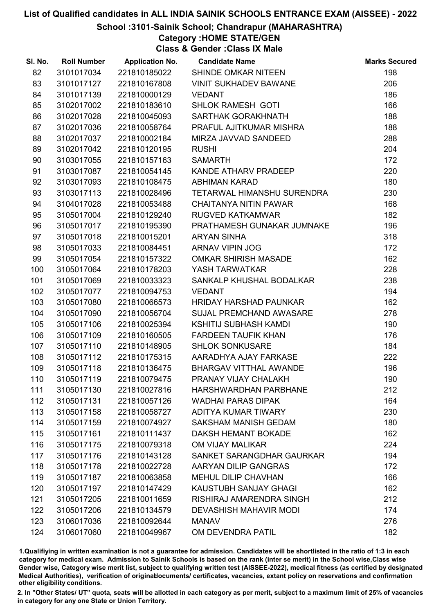#### School :3101-Sainik School; Chandrapur (MAHARASHTRA)

### Category :HOME STATE/GEN

Class & Gender :Class IX Male

| SI. No. | <b>Roll Number</b> | <b>Application No.</b> | <b>Candidate Name</b>          | <b>Marks Secured</b> |
|---------|--------------------|------------------------|--------------------------------|----------------------|
| 82      | 3101017034         | 221810185022           | SHINDE OMKAR NITEEN            | 198                  |
| 83      | 3101017127         | 221810167808           | <b>VINIT SUKHADEV BAWANE</b>   | 206                  |
| 84      | 3101017139         | 221810000129           | <b>VEDANT</b>                  | 186                  |
| 85      | 3102017002         | 221810183610           | <b>SHLOK RAMESH GOTI</b>       | 166                  |
| 86      | 3102017028         | 221810045093           | SARTHAK GORAKHNATH             | 188                  |
| 87      | 3102017036         | 221810058764           | PRAFUL AJITKUMAR MISHRA        | 188                  |
| 88      | 3102017037         | 221810002184           | MIRZA JAVVAD SANDEED           | 288                  |
| 89      | 3102017042         | 221810120195           | <b>RUSHI</b>                   | 204                  |
| 90      | 3103017055         | 221810157163           | <b>SAMARTH</b>                 | 172                  |
| 91      | 3103017087         | 221810054145           | KANDE ATHARV PRADEEP           | 220                  |
| 92      | 3103017093         | 221810108475           | ABHIMAN KARAD                  | 180                  |
| 93      | 3103017113         | 221810028496           | TETARWAL HIMANSHU SURENDRA     | 230                  |
| 94      | 3104017028         | 221810053488           | <b>CHAITANYA NITIN PAWAR</b>   | 168                  |
| 95      | 3105017004         | 221810129240           | <b>RUGVED KATKAMWAR</b>        | 182                  |
| 96      | 3105017017         | 221810195390           | PRATHAMESH GUNAKAR JUMNAKE     | 196                  |
| 97      | 3105017018         | 221810015201           | <b>ARYAN SINHA</b>             | 318                  |
| 98      | 3105017033         | 221810084451           | ARNAV VIPIN JOG                | 172                  |
| 99      | 3105017054         | 221810157322           | <b>OMKAR SHIRISH MASADE</b>    | 162                  |
| 100     | 3105017064         | 221810178203           | YASH TARWATKAR                 | 228                  |
| 101     | 3105017069         | 221810033323           | SANKALP KHUSHAL BODALKAR       | 238                  |
| 102     | 3105017077         | 221810094753           | <b>VEDANT</b>                  | 194                  |
| 103     | 3105017080         | 221810066573           | <b>HRIDAY HARSHAD PAUNKAR</b>  | 162                  |
| 104     | 3105017090         | 221810056704           | <b>SUJAL PREMCHAND AWASARE</b> | 278                  |
| 105     | 3105017106         | 221810025394           | <b>KSHITIJ SUBHASH KAMDI</b>   | 190                  |
| 106     | 3105017109         | 221810160505           | <b>FARDEEN TAUFIK KHAN</b>     | 176                  |
| 107     | 3105017110         | 221810148905           | <b>SHLOK SONKUSARE</b>         | 184                  |
| 108     | 3105017112         | 221810175315           | AARADHYA AJAY FARKASE          | 222                  |
| 109     | 3105017118         | 221810136475           | <b>BHARGAV VITTHAL AWANDE</b>  | 196                  |
| 110     | 3105017119         | 221810079475           | PRANAY VIJAY CHALAKH           | 190                  |
| 111     | 3105017130         | 221810027816           | <b>HARSHWARDHAN PARBHANE</b>   | 212                  |
| 112     | 3105017131         | 221810057126           | <b>WADHAI PARAS DIPAK</b>      | 164                  |
| 113     | 3105017158         | 221810058727           | ADITYA KUMAR TIWARY            | 230                  |
| 114     | 3105017159         | 221810074927           | <b>SAKSHAM MANISH GEDAM</b>    | 180                  |
| 115     | 3105017161         | 221810111437           | DAKSH HEMANT BOKADE            | 162                  |
| 116     | 3105017175         | 221810079318           | OM VIJAY MALIKAR               | 224                  |
| 117     | 3105017176         | 221810143128           | SANKET SARANGDHAR GAURKAR      | 194                  |
| 118     | 3105017178         | 221810022728           | AARYAN DILIP GANGRAS           | 172                  |
| 119     | 3105017187         | 221810063858           | MEHUL DILIP CHAVHAN            | 166                  |
| 120     | 3105017197         | 221810147429           | KAUSTUBH SANJAY GHAGI          | 162                  |
| 121     | 3105017205         | 221810011659           | RISHIRAJ AMARENDRA SINGH       | 212                  |
| 122     | 3105017206         | 221810134579           | <b>DEVASHISH MAHAVIR MODI</b>  | 174                  |
| 123     | 3106017036         | 221810092644           | <b>MANAV</b>                   | 276                  |
| 124     | 3106017060         | 221810049967           | OM DEVENDRA PATIL              | 182                  |

1.Qualifiying in written examination is not a guarantee for admission. Candidates will be shortlisted in the ratio of 1:3 in each category for medical exam. Admission to Sainik Schools is based on the rank (inter se merit) in the School wise,Class wise Gender wise, Category wise merit list, subject to qualifying written test (AISSEE-2022), medical fitness (as certified by designated Medical Authorities), verification of originablocuments/ certificates, vacancies, extant policy on reservations and confirmation other eligibility conditions.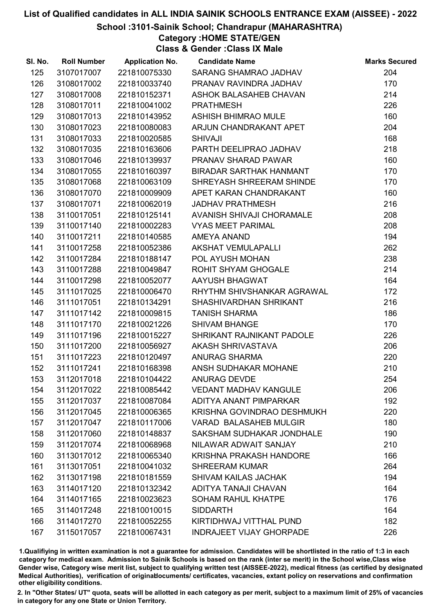#### School :3101-Sainik School; Chandrapur (MAHARASHTRA)

Category :HOME STATE/GEN

Class & Gender :Class IX Male

| SI. No. | <b>Roll Number</b> | <b>Application No.</b> | <b>Candidate Name</b>           | <b>Marks Secured</b> |
|---------|--------------------|------------------------|---------------------------------|----------------------|
| 125     | 3107017007         | 221810075330           | SARANG SHAMRAO JADHAV           | 204                  |
| 126     | 3108017002         | 221810033740           | PRANAV RAVINDRA JADHAV          | 170                  |
| 127     | 3108017008         | 221810152371           | ASHOK BALASAHEB CHAVAN          | 214                  |
| 128     | 3108017011         | 221810041002           | <b>PRATHMESH</b>                | 226                  |
| 129     | 3108017013         | 221810143952           | <b>ASHISH BHIMRAO MULE</b>      | 160                  |
| 130     | 3108017023         | 221810080083           | ARJUN CHANDRAKANT APET          | 204                  |
| 131     | 3108017033         | 221810020585           | <b>SHIVAJI</b>                  | 168                  |
| 132     | 3108017035         | 221810163606           | PARTH DEELIPRAO JADHAV          | 218                  |
| 133     | 3108017046         | 221810139937           | PRANAV SHARAD PAWAR             | 160                  |
| 134     | 3108017055         | 221810160397           | BIRADAR SARTHAK HANMANT         | 170                  |
| 135     | 3108017068         | 221810063109           | SHREYASH SHREERAM SHINDE        | 170                  |
| 136     | 3108017070         | 221810009909           | APET KARAN CHANDRAKANT          | 160                  |
| 137     | 3108017071         | 221810062019           | <b>JADHAV PRATHMESH</b>         | 216                  |
| 138     | 3110017051         | 221810125141           | AVANISH SHIVAJI CHORAMALE       | 208                  |
| 139     | 3110017140         | 221810002283           | <b>VYAS MEET PARIMAL</b>        | 208                  |
| 140     | 3110017211         | 221810140585           | <b>AMEYA ANAND</b>              | 194                  |
| 141     | 3110017258         | 221810052386           | AKSHAT VEMULAPALLI              | 262                  |
| 142     | 3110017284         | 221810188147           | POL AYUSH MOHAN                 | 238                  |
| 143     | 3110017288         | 221810049847           | ROHIT SHYAM GHOGALE             | 214                  |
| 144     | 3110017298         | 221810052077           | AAYUSH BHAGWAT                  | 164                  |
| 145     | 3111017025         | 221810006470           | RHYTHM SHIVSHANKAR AGRAWAL      | 172                  |
| 146     | 3111017051         | 221810134291           | SHASHIVARDHAN SHRIKANT          | 216                  |
| 147     | 3111017142         | 221810009815           | <b>TANISH SHARMA</b>            | 186                  |
| 148     | 3111017170         | 221810021226           | <b>SHIVAM BHANGE</b>            | 170                  |
| 149     | 3111017196         | 221810015227           | SHRIKANT RAJNIKANT PADOLE       | 226                  |
| 150     | 3111017200         | 221810056927           | AKASH SHRIVASTAVA               | 206                  |
| 151     | 3111017223         | 221810120497           | <b>ANURAG SHARMA</b>            | 220                  |
| 152     | 3111017241         | 221810168398           | ANSH SUDHAKAR MOHANE            | 210                  |
| 153     | 3112017018         | 221810104422           | <b>ANURAG DEVDE</b>             | 254                  |
| 154     | 3112017022         | 221810085442           | <b>VEDANT MADHAV KANGULE</b>    | 206                  |
| 155     | 3112017037         | 221810087084           | ADITYA ANANT PIMPARKAR          | 192                  |
| 156     | 3112017045         | 221810006365           | KRISHNA GOVINDRAO DESHMUKH      | 220                  |
| 157     | 3112017047         | 221810117006           | <b>VARAD BALASAHEB MULGIR</b>   | 180                  |
| 158     | 3112017060         | 221810148837           | SAKSHAM SUDHAKAR JONDHALE       | 190                  |
| 159     | 3112017074         | 221810068968           | NILAWAR ADWAIT SANJAY           | 210                  |
| 160     | 3113017012         | 221810065340           | <b>KRISHNA PRAKASH HANDORE</b>  | 166                  |
| 161     | 3113017051         | 221810041032           | <b>SHREERAM KUMAR</b>           | 264                  |
| 162     | 3113017198         | 221810181559           | <b>SHIVAM KAILAS JACHAK</b>     | 194                  |
| 163     | 3114017120         | 221810132342           | ADITYA TANAJI CHAVAN            | 164                  |
| 164     | 3114017165         | 221810023623           | <b>SOHAM RAHUL KHATPE</b>       | 176                  |
| 165     | 3114017248         | 221810010015           | <b>SIDDARTH</b>                 | 164                  |
| 166     | 3114017270         | 221810052255           | KIRTIDHWAJ VITTHAL PUND         | 182                  |
| 167     | 3115017057         | 221810067431           | <b>INDRAJEET VIJAY GHORPADE</b> | 226                  |

1.Qualifiying in written examination is not a guarantee for admission. Candidates will be shortlisted in the ratio of 1:3 in each category for medical exam. Admission to Sainik Schools is based on the rank (inter se merit) in the School wise,Class wise Gender wise, Category wise merit list, subject to qualifying written test (AISSEE-2022), medical fitness (as certified by designated Medical Authorities), verification of originablocuments/ certificates, vacancies, extant policy on reservations and confirmation other eligibility conditions.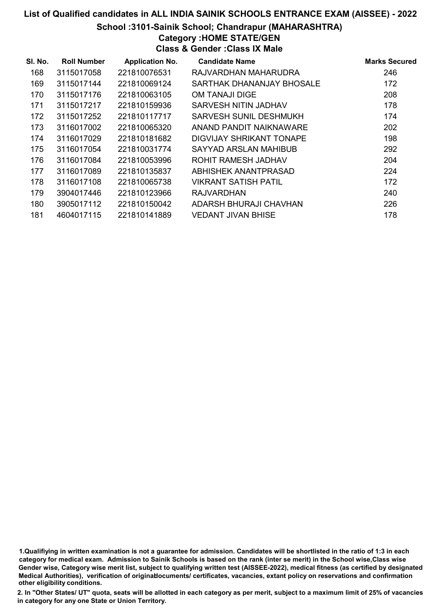#### School :3101-Sainik School; Chandrapur (MAHARASHTRA)

Category :HOME STATE/GEN

Class & Gender :Class IX Male

| SI. No. | <b>Roll Number</b> | <b>Application No.</b> | <b>Candidate Name</b>         | <b>Marks Secured</b> |
|---------|--------------------|------------------------|-------------------------------|----------------------|
| 168     | 3115017058         | 221810076531           | RAJVARDHAN MAHARUDRA          | 246                  |
| 169     | 3115017144         | 221810069124           | SARTHAK DHANANJAY BHOSALE     | 172                  |
| 170     | 3115017176         | 221810063105           | OM TANAJI DIGE                | 208                  |
| 171     | 3115017217         | 221810159936           | SARVESH NITIN JADHAV          | 178                  |
| 172     | 3115017252         | 221810117717           | <b>SARVESH SUNIL DESHMUKH</b> | 174                  |
| 173     | 3116017002         | 221810065320           | ANAND PANDIT NAIKNAWARE       | 202                  |
| 174     | 3116017029         | 221810181682           | DIGVIJAY SHRIKANT TONAPE      | 198                  |
| 175     | 3116017054         | 221810031774           | SAYYAD ARSLAN MAHIBUB         | 292                  |
| 176     | 3116017084         | 221810053996           | ROHIT RAMESH JADHAV           | 204                  |
| 177     | 3116017089         | 221810135837           | ABHISHEK ANANTPRASAD          | 224                  |
| 178     | 3116017108         | 221810065738           | <b>VIKRANT SATISH PATIL</b>   | 172                  |
| 179     | 3904017446         | 221810123966           | <b>RAJVARDHAN</b>             | 240                  |
| 180     | 3905017112         | 221810150042           | ADARSH BHURAJI CHAVHAN        | 226                  |
| 181     | 4604017115         | 221810141889           | <b>VEDANT JIVAN BHISE</b>     | 178                  |

1.Qualifiying in written examination is not a guarantee for admission. Candidates will be shortlisted in the ratio of 1:3 in each category for medical exam. Admission to Sainik Schools is based on the rank (inter se merit) in the School wise,Class wise Gender wise, Category wise merit list, subject to qualifying written test (AISSEE-2022), medical fitness (as certified by designated Medical Authorities), verification of originablocuments/ certificates, vacancies, extant policy on reservations and confirmation other eligibility conditions.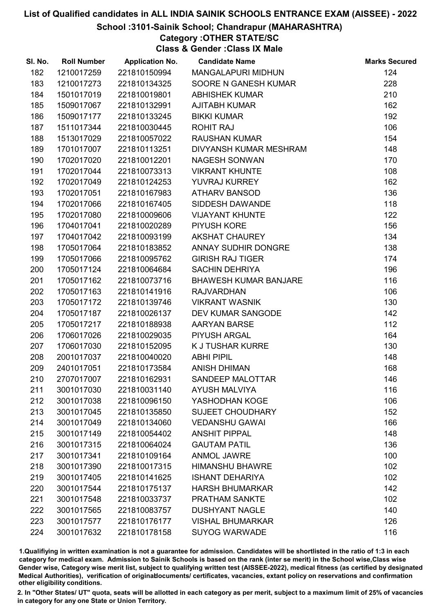#### School :3101-Sainik School; Chandrapur (MAHARASHTRA)

Category :OTHER STATE/SC

Class & Gender :Class IX Male

| SI. No. | <b>Roll Number</b> | <b>Application No.</b> | <b>Candidate Name</b>        | <b>Marks Secured</b> |
|---------|--------------------|------------------------|------------------------------|----------------------|
| 182     | 1210017259         | 221810150994           | <b>MANGALAPURI MIDHUN</b>    | 124                  |
| 183     | 1210017273         | 221810134325           | SOORE N GANESH KUMAR         | 228                  |
| 184     | 1501017019         | 221810019801           | <b>ABHISHEK KUMAR</b>        | 210                  |
| 185     | 1509017067         | 221810132991           | <b>AJITABH KUMAR</b>         | 162                  |
| 186     | 1509017177         | 221810133245           | <b>BIKKI KUMAR</b>           | 192                  |
| 187     | 1511017344         | 221810030445           | <b>ROHIT RAJ</b>             | 106                  |
| 188     | 1513017029         | 221810057022           | <b>RAUSHAN KUMAR</b>         | 154                  |
| 189     | 1701017007         | 221810113251           | DIVYANSH KUMAR MESHRAM       | 148                  |
| 190     | 1702017020         | 221810012201           | <b>NAGESH SONWAN</b>         | 170                  |
| 191     | 1702017044         | 221810073313           | <b>VIKRANT KHUNTE</b>        | 108                  |
| 192     | 1702017049         | 221810124253           | YUVRAJ KURREY                | 162                  |
| 193     | 1702017051         | 221810167983           | <b>ATHARV BANSOD</b>         | 136                  |
| 194     | 1702017066         | 221810167405           | SIDDESH DAWANDE              | 118                  |
| 195     | 1702017080         | 221810009606           | <b>VIJAYANT KHUNTE</b>       | 122                  |
| 196     | 1704017041         | 221810020289           | <b>PIYUSH KORE</b>           | 156                  |
| 197     | 1704017042         | 221810093199           | <b>AKSHAT CHAUREY</b>        | 134                  |
| 198     | 1705017064         | 221810183852           | ANNAY SUDHIR DONGRE          | 138                  |
| 199     | 1705017066         | 221810095762           | <b>GIRISH RAJ TIGER</b>      | 174                  |
| 200     | 1705017124         | 221810064684           | <b>SACHIN DEHRIYA</b>        | 196                  |
| 201     | 1705017162         | 221810073716           | <b>BHAWESH KUMAR BANJARE</b> | 116                  |
| 202     | 1705017163         | 221810141916           | <b>RAJVARDHAN</b>            | 106                  |
| 203     | 1705017172         | 221810139746           | <b>VIKRANT WASNIK</b>        | 130                  |
| 204     | 1705017187         | 221810026137           | DEV KUMAR SANGODE            | 142                  |
| 205     | 1705017217         | 221810188938           | <b>AARYAN BARSE</b>          | 112                  |
| 206     | 1706017026         | 221810029035           | PIYUSH ARGAL                 | 164                  |
| 207     | 1706017030         | 221810152095           | K J TUSHAR KURRE             | 130                  |
| 208     | 2001017037         | 221810040020           | <b>ABHI PIPIL</b>            | 148                  |
| 209     | 2401017051         | 221810173584           | <b>ANISH DHIMAN</b>          | 168                  |
| 210     | 2707017007         | 221810162931           | SANDEEP MALOTTAR             | 146                  |
| 211     | 3001017030         | 221810031140           | <b>AYUSH MALVIYA</b>         | 116                  |
| 212     | 3001017038         | 221810096150           | YASHODHAN KOGE               | 106                  |
| 213     | 3001017045         | 221810135850           | <b>SUJEET CHOUDHARY</b>      | 152                  |
| 214     | 3001017049         | 221810134060           | <b>VEDANSHU GAWAI</b>        | 166                  |
| 215     | 3001017149         | 221810054402           | <b>ANSHIT PIPPAL</b>         | 148                  |
| 216     | 3001017315         | 221810064024           | <b>GAUTAM PATIL</b>          | 136                  |
| 217     | 3001017341         | 221810109164           | <b>ANMOL JAWRE</b>           | 100                  |
| 218     | 3001017390         | 221810017315           | <b>HIMANSHU BHAWRE</b>       | 102                  |
| 219     | 3001017405         | 221810141625           | <b>ISHANT DEHARIYA</b>       | 102                  |
| 220     | 3001017544         | 221810175137           | <b>HARSH BHUMARKAR</b>       | 142                  |
| 221     | 3001017548         | 221810033737           | PRATHAM SANKTE               | 102                  |
| 222     | 3001017565         | 221810083757           | <b>DUSHYANT NAGLE</b>        | 140                  |
| 223     | 3001017577         | 221810176177           | <b>VISHAL BHUMARKAR</b>      | 126                  |
| 224     | 3001017632         | 221810178158           | <b>SUYOG WARWADE</b>         | 116                  |

1.Qualifiying in written examination is not a guarantee for admission. Candidates will be shortlisted in the ratio of 1:3 in each category for medical exam. Admission to Sainik Schools is based on the rank (inter se merit) in the School wise,Class wise Gender wise, Category wise merit list, subject to qualifying written test (AISSEE-2022), medical fitness (as certified by designated Medical Authorities), verification of originablocuments/ certificates, vacancies, extant policy on reservations and confirmation other eligibility conditions.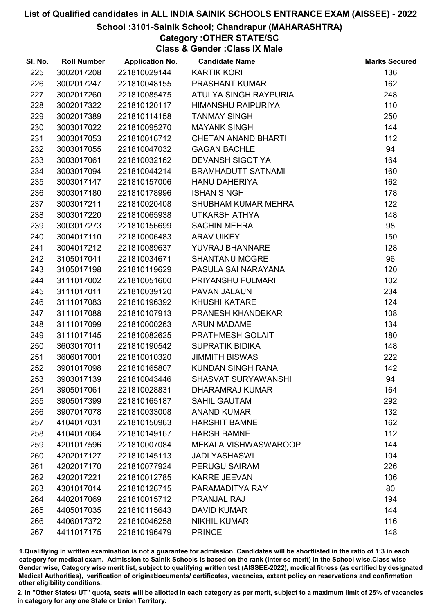#### School :3101-Sainik School; Chandrapur (MAHARASHTRA)

## Category :OTHER STATE/SC

Class & Gender :Class IX Male

| SI. No. | <b>Roll Number</b> | <b>Application No.</b> | <b>Candidate Name</b>       | <b>Marks Secured</b> |
|---------|--------------------|------------------------|-----------------------------|----------------------|
| 225     | 3002017208         | 221810029144           | <b>KARTIK KORI</b>          | 136                  |
| 226     | 3002017247         | 221810048155           | PRASHANT KUMAR              | 162                  |
| 227     | 3002017260         | 221810085475           | ATULYA SINGH RAYPURIA       | 248                  |
| 228     | 3002017322         | 221810120117           | <b>HIMANSHU RAIPURIYA</b>   | 110                  |
| 229     | 3002017389         | 221810114158           | <b>TANMAY SINGH</b>         | 250                  |
| 230     | 3003017022         | 221810095270           | <b>MAYANK SINGH</b>         | 144                  |
| 231     | 3003017053         | 221810016712           | <b>CHETAN ANAND BHARTI</b>  | 112                  |
| 232     | 3003017055         | 221810047032           | <b>GAGAN BACHLE</b>         | 94                   |
| 233     | 3003017061         | 221810032162           | <b>DEVANSH SIGOTIYA</b>     | 164                  |
| 234     | 3003017094         | 221810044214           | <b>BRAMHADUTT SATNAMI</b>   | 160                  |
| 235     | 3003017147         | 221810157006           | <b>HANU DAHERIYA</b>        | 162                  |
| 236     | 3003017180         | 221810178996           | <b>ISHAN SINGH</b>          | 178                  |
| 237     | 3003017211         | 221810020408           | SHUBHAM KUMAR MEHRA         | 122                  |
| 238     | 3003017220         | 221810065938           | UTKARSH ATHYA               | 148                  |
| 239     | 3003017273         | 221810156699           | <b>SACHIN MEHRA</b>         | 98                   |
| 240     | 3004017110         | 221810006483           | <b>ARAV UIKEY</b>           | 150                  |
| 241     | 3004017212         | 221810089637           | YUVRAJ BHANNARE             | 128                  |
| 242     | 3105017041         | 221810034671           | <b>SHANTANU MOGRE</b>       | 96                   |
| 243     | 3105017198         | 221810119629           | PASULA SAI NARAYANA         | 120                  |
| 244     | 3111017002         | 221810051600           | PRIYANSHU FULMARI           | 102                  |
| 245     | 3111017011         | 221810039120           | PAVAN JALAUN                | 234                  |
| 246     | 3111017083         | 221810196392           | <b>KHUSHI KATARE</b>        | 124                  |
| 247     | 3111017088         | 221810107913           | PRANESH KHANDEKAR           | 108                  |
| 248     | 3111017099         | 221810000263           | <b>ARUN MADAME</b>          | 134                  |
| 249     | 3111017145         | 221810082625           | PRATHMESH GOLAIT            | 180                  |
| 250     | 3603017011         | 221810190542           | <b>SUPRATIK BIDIKA</b>      | 148                  |
| 251     | 3606017001         | 221810010320           | <b>JIMMITH BISWAS</b>       | 222                  |
| 252     | 3901017098         | 221810165807           | KUNDAN SINGH RANA           | 142                  |
| 253     | 3903017139         | 221810043446           | <b>SHASVAT SURYAWANSHI</b>  | 94                   |
| 254     | 3905017061         | 221810028831           | DHARAMRAJ KUMAR             | 164                  |
| 255     | 3905017399         | 221810165187           | <b>SAHIL GAUTAM</b>         | 292                  |
| 256     | 3907017078         | 221810033008           | <b>ANAND KUMAR</b>          | 132                  |
| 257     | 4104017031         | 221810150963           | <b>HARSHIT BAMNE</b>        | 162                  |
| 258     | 4104017064         | 221810149167           | <b>HARSH BAMNE</b>          | 112                  |
| 259     | 4201017596         | 221810007084           | <b>MEKALA VISHWASWAROOP</b> | 144                  |
| 260     | 4202017127         | 221810145113           | <b>JADI YASHASWI</b>        | 104                  |
| 261     | 4202017170         | 221810077924           | <b>PERUGU SAIRAM</b>        | 226                  |
| 262     | 4202017221         | 221810012785           | <b>KARRE JEEVAN</b>         | 106                  |
| 263     | 4301017014         | 221810126715           | PARAMADITYA RAY             | 80                   |
| 264     | 4402017069         | 221810015712           | PRANJAL RAJ                 | 194                  |
| 265     | 4405017035         | 221810115643           | <b>DAVID KUMAR</b>          | 144                  |
| 266     | 4406017372         | 221810046258           | <b>NIKHIL KUMAR</b>         | 116                  |
| 267     | 4411017175         | 221810196479           | <b>PRINCE</b>               | 148                  |

1.Qualifiying in written examination is not a guarantee for admission. Candidates will be shortlisted in the ratio of 1:3 in each category for medical exam. Admission to Sainik Schools is based on the rank (inter se merit) in the School wise,Class wise Gender wise, Category wise merit list, subject to qualifying written test (AISSEE-2022), medical fitness (as certified by designated Medical Authorities), verification of originablocuments/ certificates, vacancies, extant policy on reservations and confirmation other eligibility conditions.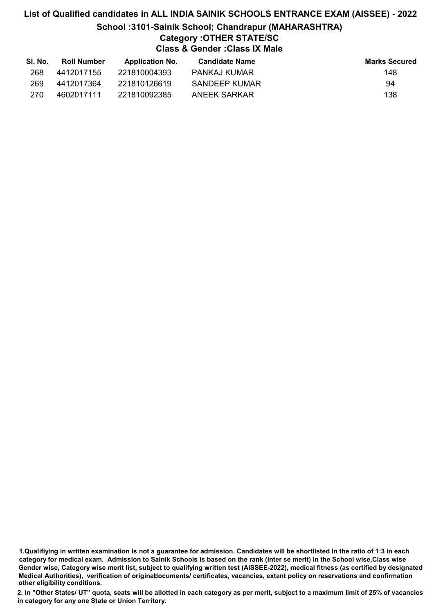### List of Qualified candidates in ALL INDIA SAINIK SCHOOLS ENTRANCE EXAM (AISSEE) - 2022 School :3101-Sainik School; Chandrapur (MAHARASHTRA) Category :OTHER STATE/SC Class & Gender :Class IX Male

| SI. No. | <b>Roll Number</b> | <b>Application No.</b> | Candidate Name | <b>Marks Secured</b> |
|---------|--------------------|------------------------|----------------|----------------------|
| 268     | 4412017155         | 221810004393           | PANKAJ KUMAR   | 148                  |
| 269     | 4412017364         | 221810126619           | SANDEEP KUMAR  | 94                   |
| 270     | 4602017111         | 221810092385           | ANEEK SARKAR   | 138                  |

1.Qualifiying in written examination is not a guarantee for admission. Candidates will be shortlisted in the ratio of 1:3 in each category for medical exam. Admission to Sainik Schools is based on the rank (inter se merit) in the School wise,Class wise Gender wise, Category wise merit list, subject to qualifying written test (AISSEE-2022), medical fitness (as certified by designated Medical Authorities), verification of originablocuments/ certificates, vacancies, extant policy on reservations and confirmation other eligibility conditions.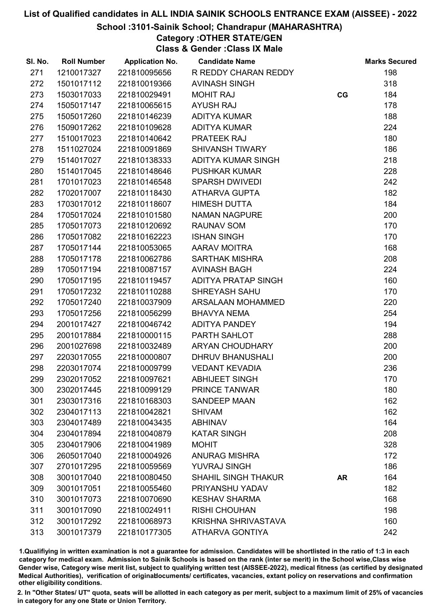#### School :3101-Sainik School; Chandrapur (MAHARASHTRA)

Category :OTHER STATE/GEN Class & Gender :Class IX Male

| SI. No. | <b>Roll Number</b> | <b>Application No.</b> | <b>Candidate Name</b>      |           | <b>Marks Secured</b> |
|---------|--------------------|------------------------|----------------------------|-----------|----------------------|
| 271     | 1210017327         | 221810095656           | R REDDY CHARAN REDDY       |           | 198                  |
| 272     | 1501017112         | 221810019366           | <b>AVINASH SINGH</b>       |           | 318                  |
| 273     | 1503017033         | 221810029491           | <b>MOHIT RAJ</b>           | CG        | 184                  |
| 274     | 1505017147         | 221810065615           | <b>AYUSH RAJ</b>           |           | 178                  |
| 275     | 1505017260         | 221810146239           | <b>ADITYA KUMAR</b>        |           | 188                  |
| 276     | 1509017262         | 221810109628           | <b>ADITYA KUMAR</b>        |           | 224                  |
| 277     | 1510017023         | 221810140642           | <b>PRATEEK RAJ</b>         |           | 180                  |
| 278     | 1511027024         | 221810091869           | <b>SHIVANSH TIWARY</b>     |           | 186                  |
| 279     | 1514017027         | 221810138333           | ADITYA KUMAR SINGH         |           | 218                  |
| 280     | 1514017045         | 221810148646           | <b>PUSHKAR KUMAR</b>       |           | 228                  |
| 281     | 1701017023         | 221810146548           | <b>SPARSH DWIVEDI</b>      |           | 242                  |
| 282     | 1702017007         | 221810118430           | <b>ATHARVA GUPTA</b>       |           | 182                  |
| 283     | 1703017012         | 221810118607           | <b>HIMESH DUTTA</b>        |           | 184                  |
| 284     | 1705017024         | 221810101580           | <b>NAMAN NAGPURE</b>       |           | 200                  |
| 285     | 1705017073         | 221810120692           | <b>RAUNAV SOM</b>          |           | 170                  |
| 286     | 1705017082         | 221810162223           | <b>ISHAN SINGH</b>         |           | 170                  |
| 287     | 1705017144         | 221810053065           | <b>AARAV MOITRA</b>        |           | 168                  |
| 288     | 1705017178         | 221810062786           | <b>SARTHAK MISHRA</b>      |           | 208                  |
| 289     | 1705017194         | 221810087157           | <b>AVINASH BAGH</b>        |           | 224                  |
| 290     | 1705017195         | 221810119457           | <b>ADITYA PRATAP SINGH</b> |           | 160                  |
| 291     | 1705017232         | 221810110288           | <b>SHREYASH SAHU</b>       |           | 170                  |
| 292     | 1705017240         | 221810037909           | <b>ARSALAAN MOHAMMED</b>   |           | 220                  |
| 293     | 1705017256         | 221810056299           | <b>BHAVYA NEMA</b>         |           | 254                  |
| 294     | 2001017427         | 221810046742           | ADITYA PANDEY              |           | 194                  |
| 295     | 2001017884         | 221810000115           | PARTH SAHLOT               |           | 288                  |
| 296     | 2001027698         | 221810032489           | ARYAN CHOUDHARY            |           | 200                  |
| 297     | 2203017055         | 221810000807           | <b>DHRUV BHANUSHALI</b>    |           | 200                  |
| 298     | 2203017074         | 221810009799           | <b>VEDANT KEVADIA</b>      |           | 236                  |
| 299     | 2302017052         | 221810097621           | <b>ABHIJEET SINGH</b>      |           | 170                  |
| 300     | 2302017445         | 221810099129           | PRINCE TANWAR              |           | 180                  |
| 301     | 2303017316         | 221810168303           | <b>SANDEEP MAAN</b>        |           | 162                  |
| 302     | 2304017113         | 221810042821           | <b>SHIVAM</b>              |           | 162                  |
| 303     | 2304017489         | 221810043435           | <b>ABHINAV</b>             |           | 164                  |
| 304     | 2304017894         | 221810040879           | <b>KATAR SINGH</b>         |           | 208                  |
| 305     | 2304017906         | 221810041989           | <b>MOHIT</b>               |           | 328                  |
| 306     | 2605017040         | 221810004926           | <b>ANURAG MISHRA</b>       |           | 172                  |
| 307     | 2701017295         | 221810059569           | <b>YUVRAJ SINGH</b>        |           | 186                  |
| 308     | 3001017040         | 221810080450           | <b>SHAHIL SINGH THAKUR</b> | <b>AR</b> | 164                  |
| 309     | 3001017051         | 221810055460           | PRIYANSHU YADAV            |           | 182                  |
| 310     | 3001017073         | 221810070690           | <b>KESHAV SHARMA</b>       |           | 168                  |
| 311     | 3001017090         | 221810024911           | <b>RISHI CHOUHAN</b>       |           | 198                  |
| 312     | 3001017292         | 221810068973           | <b>KRISHNA SHRIVASTAVA</b> |           | 160                  |
| 313     | 3001017379         | 221810177305           | <b>ATHARVA GONTIYA</b>     |           | 242                  |

1.Qualifiying in written examination is not a guarantee for admission. Candidates will be shortlisted in the ratio of 1:3 in each category for medical exam. Admission to Sainik Schools is based on the rank (inter se merit) in the School wise,Class wise Gender wise, Category wise merit list, subject to qualifying written test (AISSEE-2022), medical fitness (as certified by designated Medical Authorities), verification of originablocuments/ certificates, vacancies, extant policy on reservations and confirmation other eligibility conditions.